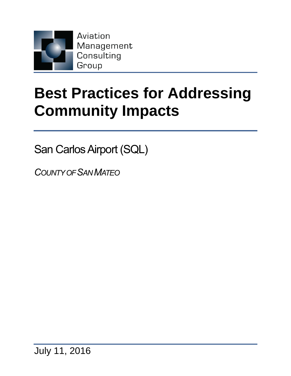

# **Best Practices for Addressing Community Impacts**

San Carlos Airport (SQL)

*COUNTY OF SAN MATEO*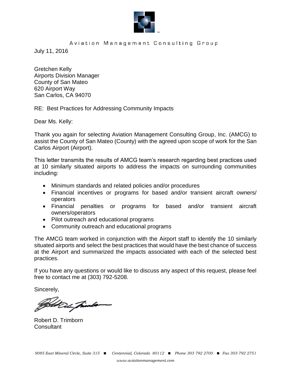

#### Aviation Management Consulting Group

July 11, 2016

Gretchen Kelly Airports Division Manager County of San Mateo 620 Airport Way San Carlos, CA 94070

RE: Best Practices for Addressing Community Impacts

Dear Ms. Kelly:

Thank you again for selecting Aviation Management Consulting Group, Inc. (AMCG) to assist the County of San Mateo (County) with the agreed upon scope of work for the San Carlos Airport (Airport).

This letter transmits the results of AMCG team's research regarding best practices used at 10 similarly situated airports to address the impacts on surrounding communities including:

- Minimum standards and related policies and/or procedures
- Financial incentives or programs for based and/or transient aircraft owners/ operators
- Financial penalties or programs for based and/or transient aircraft owners/operators
- Pilot outreach and educational programs
- Community outreach and educational programs

The AMCG team worked in conjunction with the Airport staff to identify the 10 similarly situated airports and select the best practices that would have the best chance of success at the Airport and summarized the impacts associated with each of the selected best practices.

If you have any questions or would like to discuss any aspect of this request, please feel free to contact me at (303) 792-5208.

Sincerely,

Set De Friends

Robert D. Trimborn **Consultant**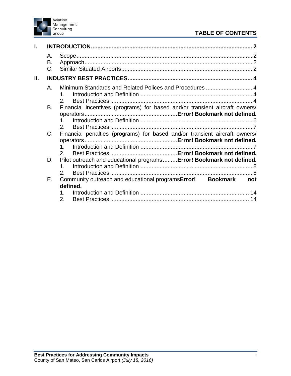

# **TABLE OF CONTENTS**

| Í.  |                |                                                                                            |
|-----|----------------|--------------------------------------------------------------------------------------------|
|     | А.<br>В.<br>C. |                                                                                            |
| II. |                |                                                                                            |
|     | Α.             | Minimum Standards and Related Polices and Procedures  4                                    |
|     | В.             | Financial incentives (programs) for based and/or transient aircraft owners/<br>$2^{\circ}$ |
|     | C.             | Financial penalties (programs) for based and/or transient aircraft owners/<br>2.           |
|     | D.             | Pilot outreach and educational programs Error! Bookmark not defined.<br>1                  |
|     |                | $\mathcal{P}$                                                                              |
|     | Е.             | Community outreach and educational programsError! Bookmark<br>not                          |
|     |                | defined.                                                                                   |
|     |                | 2.<br>14                                                                                   |
|     |                |                                                                                            |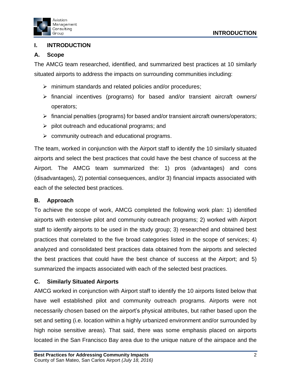



## <span id="page-3-0"></span>**I. INTRODUCTION**

## <span id="page-3-1"></span>**A. Scope**

The AMCG team researched, identified, and summarized best practices at 10 similarly situated airports to address the impacts on surrounding communities including:

- $\triangleright$  minimum standards and related policies and/or procedures;
- $\triangleright$  financial incentives (programs) for based and/or transient aircraft owners/ operators;
- $\triangleright$  financial penalties (programs) for based and/or transient aircraft owners/operators;
- $\triangleright$  pilot outreach and educational programs; and
- $\triangleright$  community outreach and educational programs.

The team, worked in conjunction with the Airport staff to identify the 10 similarly situated airports and select the best practices that could have the best chance of success at the Airport. The AMCG team summarized the: 1) pros (advantages) and cons (disadvantages), 2) potential consequences, and/or 3) financial impacts associated with each of the selected best practices.

## <span id="page-3-2"></span>**B. Approach**

To achieve the scope of work, AMCG completed the following work plan: 1) identified airports with extensive pilot and community outreach programs; 2) worked with Airport staff to identify airports to be used in the study group; 3) researched and obtained best practices that correlated to the five broad categories listed in the scope of services; 4) analyzed and consolidated best practices data obtained from the airports and selected the best practices that could have the best chance of success at the Airport; and 5) summarized the impacts associated with each of the selected best practices.

## <span id="page-3-3"></span>**C. Similarly Situated Airports**

AMCG worked in conjunction with Airport staff to identify the 10 airports listed below that have well established pilot and community outreach programs. Airports were not necessarily chosen based on the airport's physical attributes, but rather based upon the set and setting (i.e. location within a highly urbanized environment and/or surrounded by high noise sensitive areas). That said, there was some emphasis placed on airports located in the San Francisco Bay area due to the unique nature of the airspace and the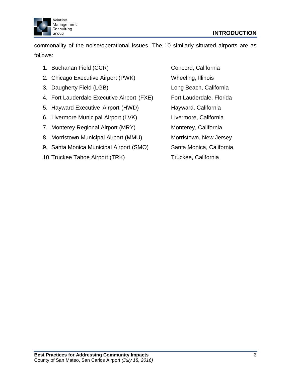

commonality of the noise/operational issues. The 10 similarly situated airports are as follows:

- 1. Buchanan Field (CCR) Concord, California
- 2. Chicago Executive Airport (PWK) Wheeling, Illinois
- 3. Daugherty Field (LGB) Cong Beach, California
- 4. Fort Lauderdale Executive Airport (FXE) Fort Lauderdale, Florida
- 5. Hayward Executive Airport (HWD) Hayward, California
- 6. Livermore Municipal Airport (LVK) Livermore, California
- 7. Monterey Regional Airport (MRY) Monterey, California
- 8. Morristown Municipal Airport (MMU) Morristown, New Jersey
- 9. Santa Monica Municipal Airport (SMO) Santa Monica, California
- 10. Truckee Tahoe Airport (TRK) Truckee, California

- 
- 
- 

- 
- 
- 
- 
- <span id="page-4-0"></span>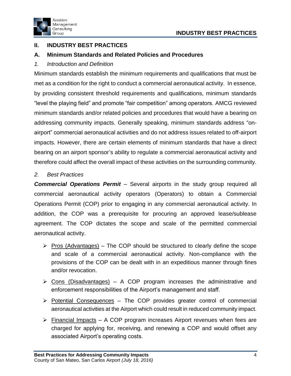

# **II. INDUSTRY BEST PRACTICES**

## <span id="page-5-0"></span>**A. Minimum Standards and Related Policies and Procedures**

<span id="page-5-1"></span>*1. Introduction and Definition*

Minimum standards establish the minimum requirements and qualifications that must be met as a condition for the right to conduct a commercial aeronautical activity. In essence, by providing consistent threshold requirements and qualifications, minimum standards "level the playing field" and promote "fair competition" among operators. AMCG reviewed minimum standards and/or related policies and procedures that would have a bearing on addressing community impacts. Generally speaking, minimum standards address "onairport" commercial aeronautical activities and do not address issues related to off-airport impacts. However, there are certain elements of minimum standards that have a direct bearing on an airport sponsor's ability to regulate a commercial aeronautical activity and therefore could affect the overall impact of these activities on the surrounding community.

## <span id="page-5-2"></span>*2. Best Practices*

*Commercial Operations Permit* – Several airports in the study group required all commercial aeronautical activity operators (Operators) to obtain a Commercial Operations Permit (COP) prior to engaging in any commercial aeronautical activity. In addition, the COP was a prerequisite for procuring an approved lease/sublease agreement. The COP dictates the scope and scale of the permitted commercial aeronautical activity.

- $\triangleright$  Pros (Advantages) The COP should be structured to clearly define the scope and scale of a commercial aeronautical activity. Non-compliance with the provisions of the COP can be dealt with in an expeditious manner through fines and/or revocation.
- $\triangleright$  Cons (Disadvantages) A COP program increases the administrative and enforcement responsibilities of the Airport's management and staff.
- $\triangleright$  Potential Consequences The COP provides greater control of commercial aeronautical activities at the Airport which could result in reduced community impact.
- $\triangleright$  Financial Impacts A COP program increases Airport revenues when fees are charged for applying for, receiving, and renewing a COP and would offset any associated Airport's operating costs.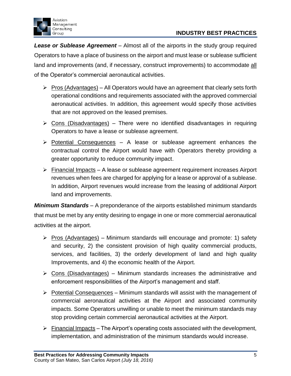

*Lease or Sublease Agreement* – Almost all of the airports in the study group required Operators to have a place of business on the airport and must lease or sublease sufficient land and improvements (and, if necessary, construct improvements) to accommodate all of the Operator's commercial aeronautical activities.

- $\triangleright$  Pros (Advantages) All Operators would have an agreement that clearly sets forth operational conditions and requirements associated with the approved commercial aeronautical activities. In addition, this agreement would specify those activities that are not approved on the leased premises.
- $\triangleright$  Cons (Disadvantages) There were no identified disadvantages in requiring Operators to have a lease or sublease agreement.
- $\triangleright$  Potential Consequences A lease or sublease agreement enhances the contractual control the Airport would have with Operators thereby providing a greater opportunity to reduce community impact.
- $\triangleright$  Financial Impacts A lease or sublease agreement requirement increases Airport revenues when fees are charged for applying for a lease or approval of a sublease. In addition, Airport revenues would increase from the leasing of additional Airport land and improvements.

*Minimum Standards* – A preponderance of the airports established minimum standards that must be met by any entity desiring to engage in one or more commercial aeronautical activities at the airport.

- $\triangleright$  Pros (Advantages) Minimum standards will encourage and promote: 1) safety and security, 2) the consistent provision of high quality commercial products, services, and facilities, 3) the orderly development of land and high quality Improvements, and 4) the economic health of the Airport.
- $\triangleright$  Cons (Disadvantages) Minimum standards increases the administrative and enforcement responsibilities of the Airport's management and staff.
- $\triangleright$  Potential Consequences Minimum standards will assist with the management of commercial aeronautical activities at the Airport and associated community impacts. Some Operators unwilling or unable to meet the minimum standards may stop providing certain commercial aeronautical activities at the Airport.
- $\triangleright$  Financial Impacts The Airport's operating costs associated with the development, implementation, and administration of the minimum standards would increase.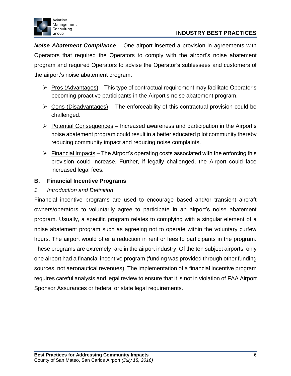

*Noise Abatement Compliance* – One airport inserted a provision in agreements with Operators that required the Operators to comply with the airport's noise abatement program and required Operators to advise the Operator's sublessees and customers of the airport's noise abatement program.

- $\triangleright$  Pros (Advantages) This type of contractual requirement may facilitate Operator's becoming proactive participants in the Airport's noise abatement program.
- $\triangleright$  Cons (Disadvantages) The enforceability of this contractual provision could be challenged.
- $\triangleright$  Potential Consequences Increased awareness and participation in the Airport's noise abatement program could result in a better educated pilot community thereby reducing community impact and reducing noise complaints.
- $\triangleright$  Financial Impacts The Airport's operating costs associated with the enforcing this provision could increase. Further, if legally challenged, the Airport could face increased legal fees.

## **B. Financial Incentive Programs**

## <span id="page-7-0"></span>*1. Introduction and Definition*

<span id="page-7-1"></span>Financial incentive programs are used to encourage based and/or transient aircraft owners/operators to voluntarily agree to participate in an airport's noise abatement program. Usually, a specific program relates to complying with a singular element of a noise abatement program such as agreeing not to operate within the voluntary curfew hours. The airport would offer a reduction in rent or fees to participants in the program. These programs are extremely rare in the airport industry. Of the ten subject airports, only one airport had a financial incentive program (funding was provided through other funding sources, not aeronautical revenues). The implementation of a financial incentive program requires careful analysis and legal review to ensure that it is not in violation of FAA Airport Sponsor Assurances or federal or state legal requirements.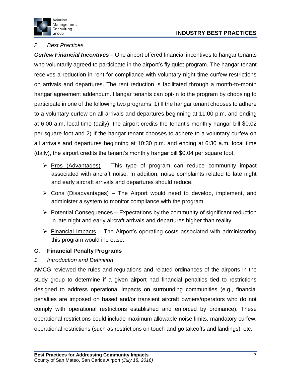# **INDUSTRY BEST PRACTICES**



## *2. Best Practices*

*Curfew Financial Incentives* – One airport offered financial incentives to hangar tenants who voluntarily agreed to participate in the airport's fly quiet program. The hangar tenant receives a reduction in rent for compliance with voluntary night time curfew restrictions on arrivals and departures. The rent reduction is facilitated through a month-to-month hangar agreement addendum. Hangar tenants can opt-in to the program by choosing to participate in one of the following two programs: 1) If the hangar tenant chooses to adhere to a voluntary curfew on all arrivals and departures beginning at 11:00 p.m. and ending at 6:00 a.m. local time (daily), the airport credits the tenant's monthly hangar bill \$0.02 per square foot and 2) If the hangar tenant chooses to adhere to a voluntary curfew on all arrivals and departures beginning at 10:30 p.m. and ending at 6:30 a.m. local time (daily), the airport credits the tenant's monthly hangar bill \$0.04 per square foot.

- $\triangleright$  Pros (Advantages) This type of program can reduce community impact associated with aircraft noise. In addition, noise complaints related to late night and early aircraft arrivals and departures should reduce.
- $\triangleright$  Cons (Disadvantages) The Airport would need to develop, implement, and administer a system to monitor compliance with the program.
- $\triangleright$  Potential Consequences Expectations by the community of significant reduction in late night and early aircraft arrivals and departures higher than reality.
- $\triangleright$  Financial Impacts The Airport's operating costs associated with administering this program would increase.

## **C. Financial Penalty Programs**

## <span id="page-8-0"></span>*1. Introduction and Definition*

AMCG reviewed the rules and regulations and related ordinances of the airports in the study group to determine if a given airport had financial penalties tied to restrictions designed to address operational impacts on surrounding communities (e.g., financial penalties are imposed on based and/or transient aircraft owners/operators who do not comply with operational restrictions established and enforced by ordinance). These operational restrictions could include maximum allowable noise limits, mandatory curfew, operational restrictions (such as restrictions on touch-and-go takeoffs and landings), etc.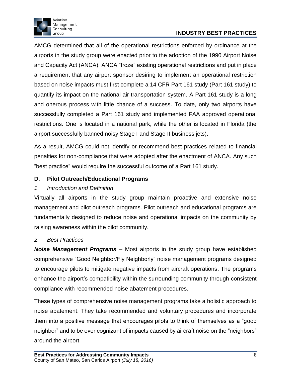

# **INDUSTRY BEST PRACTICES**

AMCG determined that all of the operational restrictions enforced by ordinance at the airports in the study group were enacted prior to the adoption of the 1990 Airport Noise and Capacity Act (ANCA). ANCA "froze" existing operational restrictions and put in place a requirement that any airport sponsor desiring to implement an operational restriction based on noise impacts must first complete a 14 CFR Part 161 study (Part 161 study) to quantify its impact on the national air transportation system. A Part 161 study is a long and onerous process with little chance of a success. To date, only two airports have successfully completed a Part 161 study and implemented FAA approved operational restrictions. One is located in a national park, while the other is located in Florida (the airport successfully banned noisy Stage I and Stage II business jets).

As a result, AMCG could not identify or recommend best practices related to financial penalties for non-compliance that were adopted after the enactment of ANCA. Any such "best practice" would require the successful outcome of a Part 161 study.

## **D. Pilot Outreach/Educational Programs**

## <span id="page-9-0"></span>*1. Introduction and Definition*

Virtually all airports in the study group maintain proactive and extensive noise management and pilot outreach programs. Pilot outreach and educational programs are fundamentally designed to reduce noise and operational impacts on the community by raising awareness within the pilot community.

## <span id="page-9-1"></span>*2. Best Practices*

*Noise Management Programs* – Most airports in the study group have established comprehensive "Good Neighbor/Fly Neighborly" noise management programs designed to encourage pilots to mitigate negative impacts from aircraft operations. The programs enhance the airport's compatibility within the surrounding community through consistent compliance with recommended noise abatement procedures.

These types of comprehensive noise management programs take a holistic approach to noise abatement. They take recommended and voluntary procedures and incorporate them into a positive message that encourages pilots to think of themselves as a "good neighbor" and to be ever cognizant of impacts caused by aircraft noise on the "neighbors" around the airport.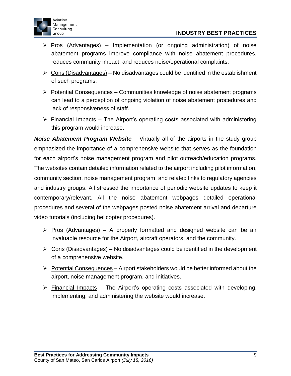



- $\triangleright$  Pros (Advantages) Implementation (or ongoing administration) of noise abatement programs improve compliance with noise abatement procedures, reduces community impact, and reduces noise/operational complaints.
- $\triangleright$  Cons (Disadvantages) No disadvantages could be identified in the establishment of such programs.
- $\triangleright$  Potential Consequences Communities knowledge of noise abatement programs can lead to a perception of ongoing violation of noise abatement procedures and lack of responsiveness of staff.
- $\triangleright$  Financial Impacts The Airport's operating costs associated with administering this program would increase.

*Noise Abatement Program Website* – Virtually all of the airports in the study group emphasized the importance of a comprehensive website that serves as the foundation for each airport's noise management program and pilot outreach/education programs. The websites contain detailed information related to the airport including pilot information, community section, noise management program, and related links to regulatory agencies and industry groups. All stressed the importance of periodic website updates to keep it contemporary/relevant. All the noise abatement webpages detailed operational procedures and several of the webpages posted noise abatement arrival and departure video tutorials (including helicopter procedures).

- $\triangleright$  Pros (Advantages) A properly formatted and designed website can be an invaluable resource for the Airport, aircraft operators, and the community.
- $\triangleright$  Cons (Disadvantages) No disadvantages could be identified in the development of a comprehensive website.
- $\triangleright$  Potential Consequences Airport stakeholders would be better informed about the airport, noise management program, and initiatives.
- $\triangleright$  Financial Impacts The Airport's operating costs associated with developing, implementing, and administering the website would increase.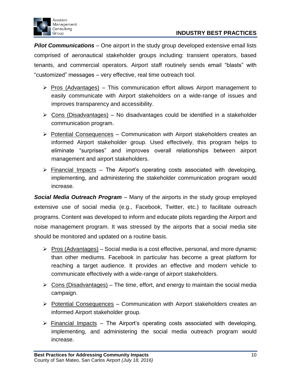



*Pilot Communications* – One airport in the study group developed extensive email lists comprised of aeronautical stakeholder groups including: transient operators, based tenants, and commercial operators. Airport staff routinely sends email "blasts" with "customized" messages – very effective, real time outreach tool.

- $\triangleright$  Pros (Advantages) This communication effort allows Airport management to easily communicate with Airport stakeholders on a wide-range of issues and improves transparency and accessibility.
- $\triangleright$  Cons (Disadvantages) No disadvantages could be identified in a stakeholder communication program.
- $\triangleright$  Potential Consequences Communication with Airport stakeholders creates an informed Airport stakeholder group. Used effectively, this program helps to eliminate "surprises" and improves overall relationships between airport management and airport stakeholders.
- $\triangleright$  Financial Impacts The Airport's operating costs associated with developing, implementing, and administering the stakeholder communication program would increase.

*Social Media Outreach Program* – Many of the airports in the study group employed extensive use of social media (e.g., Facebook, Twitter, etc.) to facilitate outreach programs. Content was developed to inform and educate pilots regarding the Airport and noise management program. It was stressed by the airports that a social media site should be monitored and updated on a routine basis.

- $\triangleright$  Pros (Advantages) Social media is a cost effective, personal, and more dynamic than other mediums. Facebook in particular has become a great platform for reaching a target audience. It provides an effective and modern vehicle to communicate effectively with a wide-range of airport stakeholders.
- $\triangleright$  Cons (Disadvantages) The time, effort, and energy to maintain the social media campaign.
- $\triangleright$  Potential Consequences Communication with Airport stakeholders creates an informed Airport stakeholder group.
- $\triangleright$  Financial Impacts The Airport's operating costs associated with developing, implementing, and administering the social media outreach program would increase.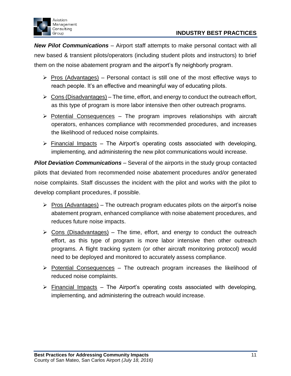

*New Pilot Communications* – Airport staff attempts to make personal contact with all new based & transient pilots/operators (including student pilots and instructors) to brief them on the noise abatement program and the airport's fly neighborly program.

- $\triangleright$  Pros (Advantages) Personal contact is still one of the most effective ways to reach people. It's an effective and meaningful way of educating pilots.
- $\triangleright$  Cons (Disadvantages) The time, effort, and energy to conduct the outreach effort, as this type of program is more labor intensive then other outreach programs.
- $\triangleright$  Potential Consequences The program improves relationships with aircraft operators, enhances compliance with recommended procedures, and increases the likelihood of reduced noise complaints.
- $\triangleright$  Financial Impacts The Airport's operating costs associated with developing, implementing, and administering the new pilot communications would increase.

*Pilot Deviation Communications* – Several of the airports in the study group contacted pilots that deviated from recommended noise abatement procedures and/or generated noise complaints. Staff discusses the incident with the pilot and works with the pilot to develop compliant procedures, if possible.

- $\triangleright$  Pros (Advantages) The outreach program educates pilots on the airport's noise abatement program, enhanced compliance with noise abatement procedures, and reduces future noise impacts.
- $\triangleright$  Cons (Disadvantages) The time, effort, and energy to conduct the outreach effort, as this type of program is more labor intensive then other outreach programs. A flight tracking system (or other aircraft monitoring protocol) would need to be deployed and monitored to accurately assess compliance.
- $\triangleright$  Potential Consequences The outreach program increases the likelihood of reduced noise complaints.
- $\triangleright$  Financial Impacts The Airport's operating costs associated with developing, implementing, and administering the outreach would increase.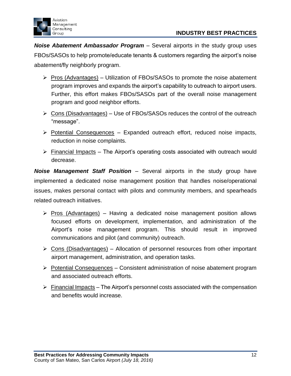



*Noise Abatement Ambassador Program* – Several airports in the study group uses FBOs/SASOs to help promote/educate tenants & customers regarding the airport's noise abatement/fly neighborly program.

- $\triangleright$  Pros (Advantages) Utilization of FBOs/SASOs to promote the noise abatement program improves and expands the airport's capability to outreach to airport users. Further, this effort makes FBOs/SASOs part of the overall noise management program and good neighbor efforts.
- $\triangleright$  Cons (Disadvantages) Use of FBOs/SASOs reduces the control of the outreach "message".
- $\triangleright$  Potential Consequences Expanded outreach effort, reduced noise impacts, reduction in noise complaints.
- $\triangleright$  Financial Impacts The Airport's operating costs associated with outreach would decrease.

*Noise Management Staff Position* – Several airports in the study group have implemented a dedicated noise management position that handles noise/operational issues, makes personal contact with pilots and community members, and spearheads related outreach initiatives.

- $\triangleright$  Pros (Advantages) Having a dedicated noise management position allows focused efforts on development, implementation, and administration of the Airport's noise management program. This should result in improved communications and pilot (and community) outreach.
- $\triangleright$  Cons (Disadvantages) Allocation of personnel resources from other important airport management, administration, and operation tasks.
- $\triangleright$  Potential Consequences Consistent administration of noise abatement program and associated outreach efforts.
- $\triangleright$  Financial Impacts The Airport's personnel costs associated with the compensation and benefits would increase.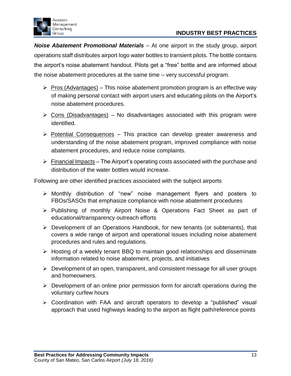

*Noise Abatement Promotional Materials* – At one airport in the study group, airport operations staff distributes airport logo water bottles to transient pilots. The bottle contains the airport's noise abatement handout. Pilots get a "free" bottle and are informed about the noise abatement procedures at the same time – very successful program.

- $\triangleright$  Pros (Advantages) This noise abatement promotion program is an effective way of making personal contact with airport users and educating pilots on the Airport's noise abatement procedures.
- $\triangleright$  Cons (Disadvantages) No disadvantages associated with this program were identified.
- $\triangleright$  Potential Consequences This practice can develop greater awareness and understanding of the noise abatement program, improved compliance with noise abatement procedures, and reduce noise complaints.
- $\triangleright$  Financial Impacts The Airport's operating costs associated with the purchase and distribution of the water bottles would increase.

Following are other identified practices associated with the subject airports

- $\triangleright$  Monthly distribution of "new" noise management flyers and posters to FBOs/SASOs that emphasize compliance with noise abatement procedures
- $\triangleright$  Publishing of monthly Airport Noise & Operations Fact Sheet as part of educational/transparency outreach efforts
- Development of an Operations Handbook, for new tenants (or subtenants), that covers a wide range of airport and operational issues including noise abatement procedures and rules and regulations.
- $\triangleright$  Hosting of a weekly tenant BBQ to maintain good relationships and disseminate information related to noise abatement, projects, and initiatives
- $\triangleright$  Development of an open, transparent, and consistent message for all user groups and homeowners.
- $\triangleright$  Development of an online prior permission form for aircraft operations during the voluntary curfew hours
- Coordination with FAA and aircraft operators to develop a "published" visual approach that used highways leading to the airport as flight path/reference points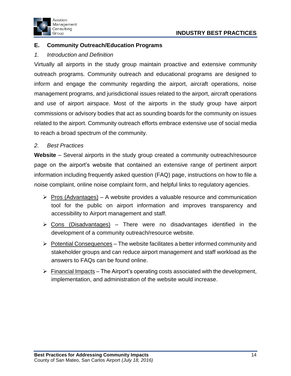



## **E. Community Outreach/Education Programs**

#### <span id="page-15-0"></span>*1. Introduction and Definition*

Virtually all airports in the study group maintain proactive and extensive community outreach programs. Community outreach and educational programs are designed to inform and engage the community regarding the airport, aircraft operations, noise management programs, and jurisdictional issues related to the airport, aircraft operations and use of airport airspace. Most of the airports in the study group have airport commissions or advisory bodies that act as sounding boards for the community on issues related to the airport. Community outreach efforts embrace extensive use of social media to reach a broad spectrum of the community.

#### <span id="page-15-1"></span>*2. Best Practices*

**Website** – Several airports in the study group created a community outreach/resource page on the airport's website that contained an extensive range of pertinent airport information including frequently asked question (FAQ) page, instructions on how to file a noise complaint, online noise complaint form, and helpful links to regulatory agencies.

- $\triangleright$  Pros (Advantages) A website provides a valuable resource and communication tool for the public on airport information and improves transparency and accessibility to Airport management and staff.
- $\triangleright$  Cons (Disadvantages) There were no disadvantages identified in the development of a community outreach/resource website.
- $\triangleright$  Potential Consequences The website facilitates a better informed community and stakeholder groups and can reduce airport management and staff workload as the answers to FAQs can be found online.
- $\triangleright$  Financial Impacts The Airport's operating costs associated with the development, implementation, and administration of the website would increase.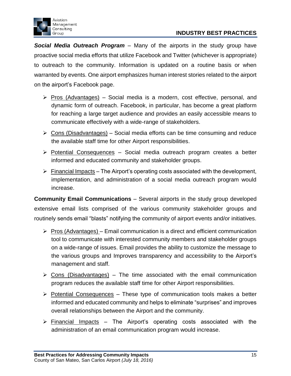

*Social Media Outreach Program* – Many of the airports in the study group have proactive social media efforts that utilize Facebook and Twitter (whichever is appropriate) to outreach to the community. Information is updated on a routine basis or when warranted by events. One airport emphasizes human interest stories related to the airport on the airport's Facebook page.

- $\triangleright$  Pros (Advantages) Social media is a modern, cost effective, personal, and dynamic form of outreach. Facebook, in particular, has become a great platform for reaching a large target audience and provides an easily accessible means to communicate effectively with a wide-range of stakeholders.
- $\triangleright$  Cons (Disadvantages) Social media efforts can be time consuming and reduce the available staff time for other Airport responsibilities.
- $\triangleright$  Potential Consequences Social media outreach program creates a better informed and educated community and stakeholder groups.
- $\triangleright$  Financial Impacts The Airport's operating costs associated with the development, implementation, and administration of a social media outreach program would increase.

**Community Email Communications** – Several airports in the study group developed extensive email lists comprised of the various community stakeholder groups and routinely sends email "blasts" notifying the community of airport events and/or initiatives.

- $\triangleright$  Pros (Advantages) Email communication is a direct and efficient communication tool to communicate with interested community members and stakeholder groups on a wide-range of issues. Email provides the ability to customize the message to the various groups and Improves transparency and accessibility to the Airport's management and staff.
- $\triangleright$  Cons (Disadvantages) The time associated with the email communication program reduces the available staff time for other Airport responsibilities.
- $\triangleright$  Potential Consequences These type of communication tools makes a better informed and educated community and helps to eliminate "surprises" and improves overall relationships between the Airport and the community.
- $\triangleright$  Financial Impacts The Airport's operating costs associated with the administration of an email communication program would increase.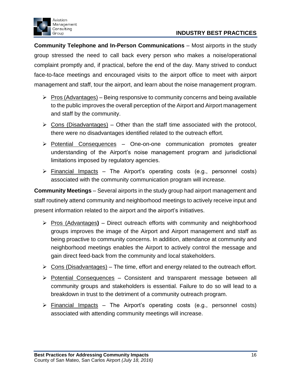



**Community Telephone and In-Person Communications** – Most airports in the study group stressed the need to call back every person who makes a noise/operational complaint promptly and, if practical, before the end of the day. Many strived to conduct face-to-face meetings and encouraged visits to the airport office to meet with airport management and staff, tour the airport, and learn about the noise management program.

- $\triangleright$  Pros (Advantages) Being responsive to community concerns and being available to the public improves the overall perception of the Airport and Airport management and staff by the community.
- $\triangleright$  Cons (Disadvantages) Other than the staff time associated with the protocol, there were no disadvantages identified related to the outreach effort.
- $\triangleright$  Potential Consequences One-on-one communication promotes greater understanding of the Airport's noise management program and jurisdictional limitations imposed by regulatory agencies.
- $\triangleright$  Financial Impacts The Airport's operating costs (e.g., personnel costs) associated with the community communication program will increase.

**Community Meetings** – Several airports in the study group had airport management and staff routinely attend community and neighborhood meetings to actively receive input and present information related to the airport and the airport's initiatives.

- Pros (Advantages**)** Direct outreach efforts with community and neighborhood groups improves the image of the Airport and Airport management and staff as being proactive to community concerns. In addition, attendance at community and neighborhood meetings enables the Airport to actively control the message and gain direct feed-back from the community and local stakeholders.
- $\triangleright$  Cons (Disadvantages) The time, effort and energy related to the outreach effort.
- $\triangleright$  Potential Consequences Consistent and transparent message between all community groups and stakeholders is essential. Failure to do so will lead to a breakdown in trust to the detriment of a community outreach program.
- $\triangleright$  Financial Impacts The Airport's operating costs (e.g., personnel costs) associated with attending community meetings will increase.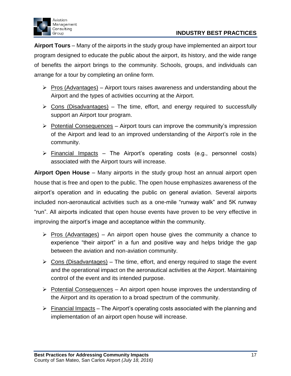

**Airport Tours** – Many of the airports in the study group have implemented an airport tour program designed to educate the public about the airport, its history, and the wide range of benefits the airport brings to the community. Schools, groups, and individuals can arrange for a tour by completing an online form.

- $\triangleright$  Pros (Advantages) Airport tours raises awareness and understanding about the Airport and the types of activities occurring at the Airport.
- $\triangleright$  Cons (Disadvantages) The time, effort, and energy required to successfully support an Airport tour program.
- $\triangleright$  Potential Consequences Airport tours can improve the community's impression of the Airport and lead to an improved understanding of the Airport's role in the community.
- $\triangleright$  Financial Impacts The Airport's operating costs (e.g., personnel costs) associated with the Airport tours will increase.

**Airport Open House** – Many airports in the study group host an annual airport open house that is free and open to the public. The open house emphasizes awareness of the airport's operation and in educating the public on general aviation. Several airports included non-aeronautical activities such as a one-mile "runway walk" and 5K runway "run". All airports indicated that open house events have proven to be very effective in improving the airport's image and acceptance within the community.

- $\triangleright$  Pros (Advantages) An airport open house gives the community a chance to experience "their airport" in a fun and positive way and helps bridge the gap between the aviation and non-aviation community.
- $\triangleright$  Cons (Disadvantages) The time, effort, and energy required to stage the event and the operational impact on the aeronautical activities at the Airport. Maintaining control of the event and its intended purpose.
- $\triangleright$  Potential Consequences An airport open house improves the understanding of the Airport and its operation to a broad spectrum of the community.
- $\triangleright$  Financial Impacts The Airport's operating costs associated with the planning and implementation of an airport open house will increase.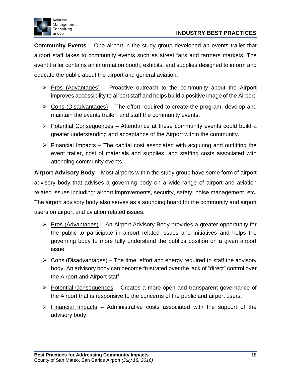

**Community Events** – One airport in the study group developed an events trailer that airport staff takes to community events such as street fairs and farmers markets. The event trailer contains an information booth, exhibits, and supplies designed to inform and educate the public about the airport and general aviation.

- $\triangleright$  Pros (Advantages) Proactive outreach to the community about the Airport improves accessibility to airport staff and helps build a positive image of the Airport.
- $\triangleright$  Cons (Disadvantages) The effort required to create the program, develop and maintain the events trailer, and staff the community events.
- $\triangleright$  Potential Consequences Attendance at these community events could build a greater understanding and acceptance of the Airport within the community.
- $\triangleright$  Financial Impacts The capital cost associated with acquiring and outfitting the event trailer, cost of materials and supplies, and staffing costs associated with attending community events.

**Airport Advisory Body** – Most airports within the study group have some form of airport advisory body that advises a governing body on a wide-range of airport and aviation related issues including: airport improvements, security, safety, noise management, etc. The airport advisory body also serves as a sounding board for the community and airport users on airport and aviation related issues.

- $\triangleright$  Pros (Advantages) An Airport Advisory Body provides a greater opportunity for the public to participate in airport related issues and initiatives and helps the governing body to more fully understand the publics position on a given airport issue.
- $\triangleright$  Cons (Disadvantages) The time, effort and energy required to staff the advisory body. An advisory body can become frustrated over the lack of "direct" control over the Airport and Airport staff.
- $\triangleright$  Potential Consequences Creates a more open and transparent governance of the Airport that is responsive to the concerns of the public and airport users.
- $\triangleright$  Financial Impacts Administrative costs associated with the support of the advisory body.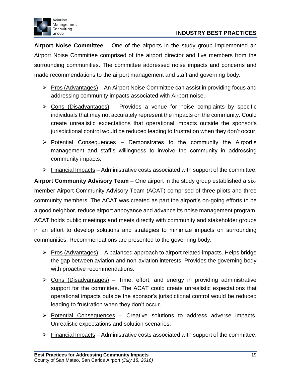

**Airport Noise Committee** – One of the airports in the study group implemented an Airport Noise Committee comprised of the airport director and five members from the surrounding communities. The committee addressed noise impacts and concerns and made recommendations to the airport management and staff and governing body.

- $\triangleright$  Pros (Advantages) An Airport Noise Committee can assist in providing focus and addressing community impacts associated with Airport noise.
- $\triangleright$  Cons (Disadvantages) Provides a venue for noise complaints by specific individuals that may not accurately represent the impacts on the community. Could create unrealistic expectations that operational impacts outside the sponsor's jurisdictional control would be reduced leading to frustration when they don't occur.
- $\triangleright$  Potential Consequences Demonstrates to the community the Airport's management and staff's willingness to involve the community in addressing community impacts.
- $\triangleright$  Financial Impacts Administrative costs associated with support of the committee.

**Airport Community Advisory Team** – One airport in the study group established a sixmember Airport Community Advisory Team (ACAT) comprised of three pilots and three community members. The ACAT was created as part the airport's on-going efforts to be a good neighbor, reduce airport annoyance and advance its noise management program. ACAT holds public meetings and meets directly with community and stakeholder groups in an effort to develop solutions and strategies to minimize impacts on surrounding communities. Recommendations are presented to the governing body.

- $\triangleright$  Pros (Advantages) A balanced approach to airport related impacts. Helps bridge the gap between aviation and non-aviation interests. Provides the governing body with proactive recommendations.
- $\triangleright$  Cons (Disadvantages) Time, effort, and energy in providing administrative support for the committee. The ACAT could create unrealistic expectations that operational impacts outside the sponsor's jurisdictional control would be reduced leading to frustration when they don't occur.
- $\triangleright$  Potential Consequences Creative solutions to address adverse impacts. Unrealistic expectations and solution scenarios.
- $\triangleright$  Financial Impacts Administrative costs associated with support of the committee.